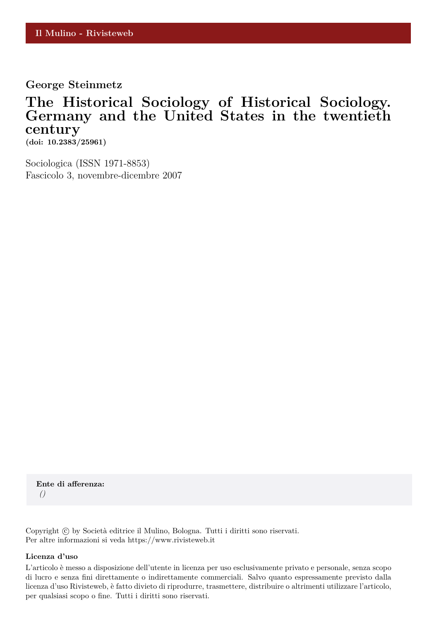**George Steinmetz**

# **The Historical Sociology of Historical Sociology. Germany and the United States in the twentieth century**

**(doi: 10.2383/25961)**

Sociologica (ISSN 1971-8853) Fascicolo 3, novembre-dicembre 2007

**Ente di afferenza:** *()*

Copyright © by Società editrice il Mulino, Bologna. Tutti i diritti sono riservati. Per altre informazioni si veda https://www.rivisteweb.it

#### **Licenza d'uso**

L'articolo è messo a disposizione dell'utente in licenza per uso esclusivamente privato e personale, senza scopo di lucro e senza fini direttamente o indirettamente commerciali. Salvo quanto espressamente previsto dalla licenza d'uso Rivisteweb, è fatto divieto di riprodurre, trasmettere, distribuire o altrimenti utilizzare l'articolo, per qualsiasi scopo o fine. Tutti i diritti sono riservati.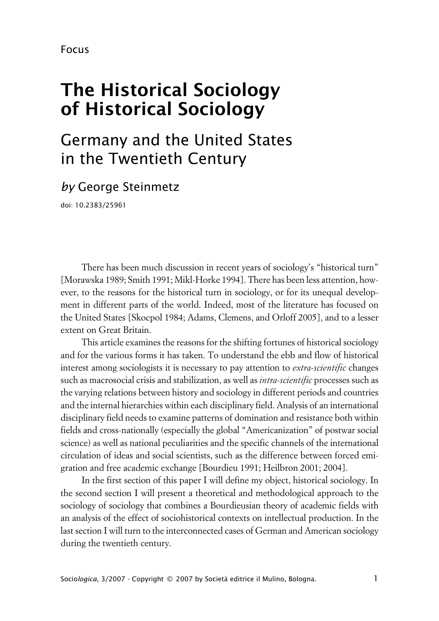# **The Historical Sociology of Historical Sociology**

# Germany and the United States in the Twentieth Century

# *by* George Steinmetz

doi: 10.2383/25961

There has been much discussion in recent years of sociology's "historical turn" [Morawska 1989; Smith 1991; Mikl-Horke 1994]. There has been less attention, however, to the reasons for the historical turn in sociology, or for its unequal development in different parts of the world. Indeed, most of the literature has focused on the United States [Skocpol 1984; Adams, Clemens, and Orloff 2005], and to a lesser extent on Great Britain.

This article examines the reasons for the shifting fortunes of historical sociology and for the various forms it has taken. To understand the ebb and flow of historical interest among sociologists it is necessary to pay attention to *extra-scientific* changes such as macrosocial crisis and stabilization, as well as *intra-scientific* processes such as the varying relations between history and sociology in different periods and countries and the internal hierarchies within each disciplinary field. Analysis of an international disciplinary field needs to examine patterns of domination and resistance both within fields and cross-nationally (especially the global "Americanization" of postwar social science) as well as national peculiarities and the specific channels of the international circulation of ideas and social scientists, such as the difference between forced emigration and free academic exchange [Bourdieu 1991; Heilbron 2001; 2004].

In the first section of this paper I will define my object, historical sociology. In the second section I will present a theoretical and methodological approach to the sociology of sociology that combines a Bourdieusian theory of academic fields with an analysis of the effect of sociohistorical contexts on intellectual production. In the last section I will turn to the interconnected cases of German and American sociology during the twentieth century.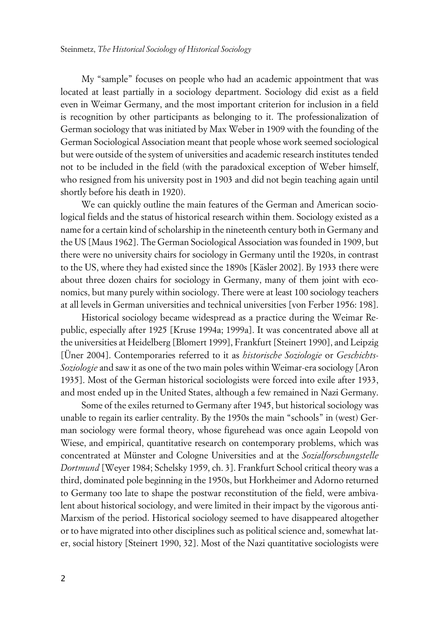My "sample" focuses on people who had an academic appointment that was located at least partially in a sociology department. Sociology did exist as a field even in Weimar Germany, and the most important criterion for inclusion in a field is recognition by other participants as belonging to it. The professionalization of German sociology that was initiated by Max Weber in 1909 with the founding of the German Sociological Association meant that people whose work seemed sociological but were outside of the system of universities and academic research institutes tended not to be included in the field (with the paradoxical exception of Weber himself, who resigned from his university post in 1903 and did not begin teaching again until shortly before his death in 1920).

We can quickly outline the main features of the German and American sociological fields and the status of historical research within them. Sociology existed as a name for a certain kind of scholarship in the nineteenth century both in Germany and the US [Maus 1962]. The German Sociological Association was founded in 1909, but there were no university chairs for sociology in Germany until the 1920s, in contrast to the US, where they had existed since the 1890s [Käsler 2002]. By 1933 there were about three dozen chairs for sociology in Germany, many of them joint with economics, but many purely within sociology. There were at least 100 sociology teachers at all levels in German universities and technical universities [von Ferber 1956: 198].

Historical sociology became widespread as a practice during the Weimar Republic, especially after 1925 [Kruse 1994a; 1999a]. It was concentrated above all at the universities at Heidelberg [Blomert 1999], Frankfurt [Steinert 1990], and Leipzig [Üner 2004]. Contemporaries referred to it as *historische Soziologie* or *Geschichts-Soziologie* and saw it as one of the two main poles within Weimar-era sociology [Aron 1935]. Most of the German historical sociologists were forced into exile after 1933, and most ended up in the United States, although a few remained in Nazi Germany.

Some of the exiles returned to Germany after 1945, but historical sociology was unable to regain its earlier centrality. By the 1950s the main "schools" in (west) German sociology were formal theory, whose figurehead was once again Leopold von Wiese, and empirical, quantitative research on contemporary problems, which was concentrated at Münster and Cologne Universities and at the *Sozialforschungstelle Dortmund* [Weyer 1984; Schelsky 1959, ch. 3]. Frankfurt School critical theory was a third, dominated pole beginning in the 1950s, but Horkheimer and Adorno returned to Germany too late to shape the postwar reconstitution of the field, were ambivalent about historical sociology, and were limited in their impact by the vigorous anti-Marxism of the period. Historical sociology seemed to have disappeared altogether or to have migrated into other disciplines such as political science and, somewhat later, social history [Steinert 1990, 32]. Most of the Nazi quantitative sociologists were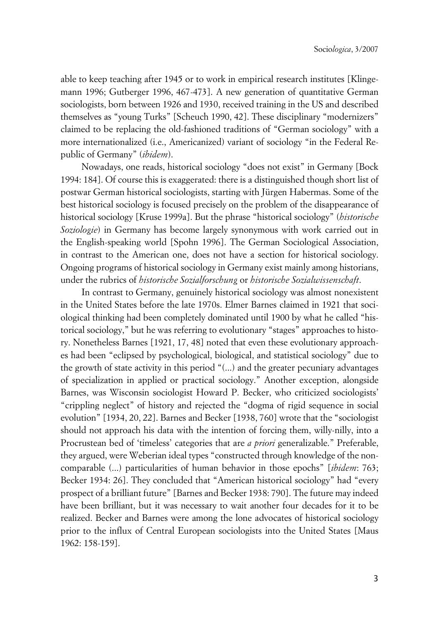able to keep teaching after 1945 or to work in empirical research institutes [Klingemann 1996; Gutberger 1996, 467-473]. A new generation of quantitative German sociologists, born between 1926 and 1930, received training in the US and described themselves as "young Turks" [Scheuch 1990, 42]. These disciplinary "modernizers" claimed to be replacing the old-fashioned traditions of "German sociology" with a more internationalized (i.e., Americanized) variant of sociology "in the Federal Republic of Germany" (*ibidem*).

Nowadays, one reads, historical sociology "does not exist" in Germany [Bock 1994: 184]. Of course this is exaggerated: there is a distinguished though short list of postwar German historical sociologists, starting with Jürgen Habermas. Some of the best historical sociology is focused precisely on the problem of the disappearance of historical sociology [Kruse 1999a]. But the phrase "historical sociology" (*historische Soziologie*) in Germany has become largely synonymous with work carried out in the English-speaking world [Spohn 1996]. The German Sociological Association, in contrast to the American one, does not have a section for historical sociology. Ongoing programs of historical sociology in Germany exist mainly among historians, under the rubrics of *historische Sozialforschung* or *historische Sozialwissenschaft*.

In contrast to Germany, genuinely historical sociology was almost nonexistent in the United States before the late 1970s. Elmer Barnes claimed in 1921 that sociological thinking had been completely dominated until 1900 by what he called "historical sociology," but he was referring to evolutionary "stages" approaches to history. Nonetheless Barnes [1921, 17, 48] noted that even these evolutionary approaches had been "eclipsed by psychological, biological, and statistical sociology" due to the growth of state activity in this period "(...) and the greater pecuniary advantages of specialization in applied or practical sociology." Another exception, alongside Barnes, was Wisconsin sociologist Howard P. Becker, who criticized sociologists' "crippling neglect" of history and rejected the "dogma of rigid sequence in social evolution" [1934, 20, 22]. Barnes and Becker [1938, 760] wrote that the "sociologist should not approach his data with the intention of forcing them, willy-nilly, into a Procrustean bed of 'timeless' categories that are *a priori* generalizable." Preferable, they argued, were Weberian ideal types "constructed through knowledge of the noncomparable (...) particularities of human behavior in those epochs" [*ibidem*: 763; Becker 1934: 26]. They concluded that "American historical sociology" had "every prospect of a brilliant future" [Barnes and Becker 1938: 790]. The future may indeed have been brilliant, but it was necessary to wait another four decades for it to be realized. Becker and Barnes were among the lone advocates of historical sociology prior to the influx of Central European sociologists into the United States [Maus 1962: 158-159].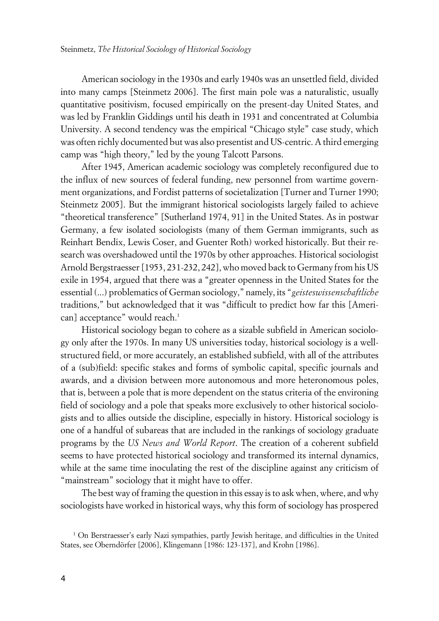American sociology in the 1930s and early 1940s was an unsettled field, divided into many camps [Steinmetz 2006]. The first main pole was a naturalistic, usually quantitative positivism, focused empirically on the present-day United States, and was led by Franklin Giddings until his death in 1931 and concentrated at Columbia University. A second tendency was the empirical "Chicago style" case study, which was often richly documented but was also presentist and US-centric. A third emerging camp was "high theory," led by the young Talcott Parsons.

After 1945, American academic sociology was completely reconfigured due to the influx of new sources of federal funding, new personnel from wartime government organizations, and Fordist patterns of societalization [Turner and Turner 1990; Steinmetz 2005]. But the immigrant historical sociologists largely failed to achieve "theoretical transference" [Sutherland 1974, 91] in the United States. As in postwar Germany, a few isolated sociologists (many of them German immigrants, such as Reinhart Bendix, Lewis Coser, and Guenter Roth) worked historically. But their research was overshadowed until the 1970s by other approaches. Historical sociologist Arnold Bergstraesser [1953, 231-232, 242], who moved back to Germany from his US exile in 1954, argued that there was a "greater openness in the United States for the essential (...) problematics of German sociology," namely, its "*geisteswissenschaftliche* traditions," but acknowledged that it was "difficult to predict how far this [American] acceptance" would reach.<sup>1</sup>

Historical sociology began to cohere as a sizable subfield in American sociology only after the 1970s. In many US universities today, historical sociology is a wellstructured field, or more accurately, an established subfield, with all of the attributes of a (sub)field: specific stakes and forms of symbolic capital, specific journals and awards, and a division between more autonomous and more heteronomous poles, that is, between a pole that is more dependent on the status criteria of the environing field of sociology and a pole that speaks more exclusively to other historical sociologists and to allies outside the discipline, especially in history. Historical sociology is one of a handful of subareas that are included in the rankings of sociology graduate programs by the *US News and World Report*. The creation of a coherent subfield seems to have protected historical sociology and transformed its internal dynamics, while at the same time inoculating the rest of the discipline against any criticism of "mainstream" sociology that it might have to offer.

The best way of framing the question in this essay is to ask when, where, and why sociologists have worked in historical ways, why this form of sociology has prospered

<sup>1</sup> On Berstraesser's early Nazi sympathies, partly Jewish heritage, and difficulties in the United States, see Oberndörfer [2006], Klingemann [1986: 123-137], and Krohn [1986].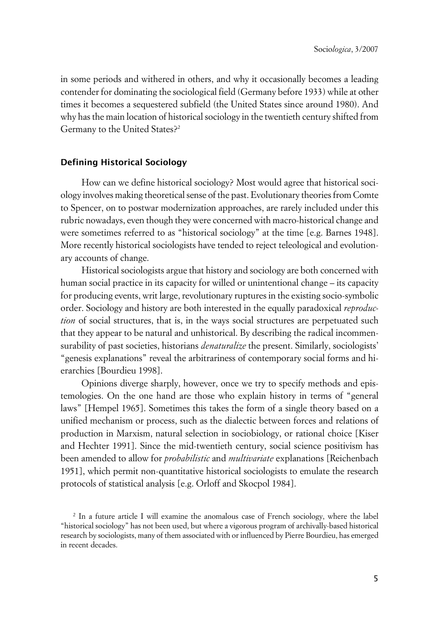in some periods and withered in others, and why it occasionally becomes a leading contender for dominating the sociological field (Germany before 1933) while at other times it becomes a sequestered subfield (the United States since around 1980). And why has the main location of historical sociology in the twentieth century shifted from Germany to the United States?<sup>2</sup>

# **xDefining Historical Sociology**

How can we define historical sociology? Most would agree that historical sociology involves making theoretical sense of the past. Evolutionary theories from Comte to Spencer, on to postwar modernization approaches, are rarely included under this rubric nowadays, even though they were concerned with macro-historical change and were sometimes referred to as "historical sociology" at the time [e.g. Barnes 1948]. More recently historical sociologists have tended to reject teleological and evolutionary accounts of change.

Historical sociologists argue that history and sociology are both concerned with human social practice in its capacity for willed or unintentional change – its capacity for producing events, writ large, revolutionary ruptures in the existing socio-symbolic order. Sociology and history are both interested in the equally paradoxical *reproduction* of social structures, that is, in the ways social structures are perpetuated such that they appear to be natural and unhistorical. By describing the radical incommensurability of past societies, historians *denaturalize* the present. Similarly, sociologists' "genesis explanations" reveal the arbitrariness of contemporary social forms and hierarchies [Bourdieu 1998].

Opinions diverge sharply, however, once we try to specify methods and epistemologies. On the one hand are those who explain history in terms of "general laws" [Hempel 1965]. Sometimes this takes the form of a single theory based on a unified mechanism or process, such as the dialectic between forces and relations of production in Marxism, natural selection in sociobiology, or rational choice [Kiser and Hechter 1991]. Since the mid-twentieth century, social science positivism has been amended to allow for *probabilistic* and *multivariate* explanations [Reichenbach 1951], which permit non-quantitative historical sociologists to emulate the research protocols of statistical analysis [e.g. Orloff and Skocpol 1984].

<sup>2</sup> In a future article I will examine the anomalous case of French sociology, where the label "historical sociology" has not been used, but where a vigorous program of archivally-based historical research by sociologists, many of them associated with or influenced by Pierre Bourdieu, has emerged in recent decades.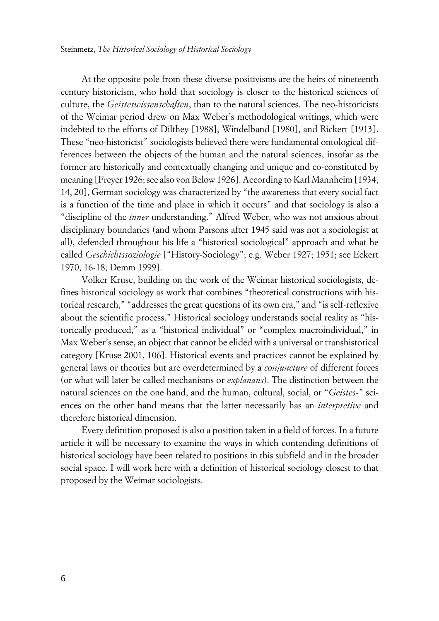At the opposite pole from these diverse positivisms are the heirs of nineteenth century historicism, who hold that sociology is closer to the historical sciences of culture, the *Geisteswissenschaften*, than to the natural sciences. The neo-historicists of the Weimar period drew on Max Weber's methodological writings, which were indebted to the efforts of Dilthey [1988], Windelband [1980], and Rickert [1913]. These "neo-historicist" sociologists believed there were fundamental ontological differences between the objects of the human and the natural sciences, insofar as the former are historically and contextually changing and unique and co-constituted by meaning [Freyer 1926; see also von Below 1926]. According to Karl Mannheim [1934, 14, 20], German sociology was characterized by "the awareness that every social fact is a function of the time and place in which it occurs" and that sociology is also a "discipline of the *inner* understanding." Alfred Weber, who was not anxious about disciplinary boundaries (and whom Parsons after 1945 said was not a sociologist at all), defended throughout his life a "historical sociological" approach and what he called *Geschichtssoziologie* ["History-Sociology"; e.g. Weber 1927; 1951; see Eckert 1970, 16-18; Demm 1999].

Volker Kruse, building on the work of the Weimar historical sociologists, defines historical sociology as work that combines "theoretical constructions with historical research," "addresses the great questions of its own era," and "is self-reflexive about the scientific process." Historical sociology understands social reality as "historically produced," as a "historical individual" or "complex macroindividual," in Max Weber's sense, an object that cannot be elided with a universal or transhistorical category [Kruse 2001, 106]. Historical events and practices cannot be explained by general laws or theories but are overdetermined by a *conjuncture* of different forces (or what will later be called mechanisms or *explanans*). The distinction between the natural sciences on the one hand, and the human, cultural, social, or "*Geistes*-" sciences on the other hand means that the latter necessarily has an *interpretive* and therefore historical dimension.

Every definition proposed is also a position taken in a field of forces. In a future article it will be necessary to examine the ways in which contending definitions of historical sociology have been related to positions in this subfield and in the broader social space. I will work here with a definition of historical sociology closest to that proposed by the Weimar sociologists.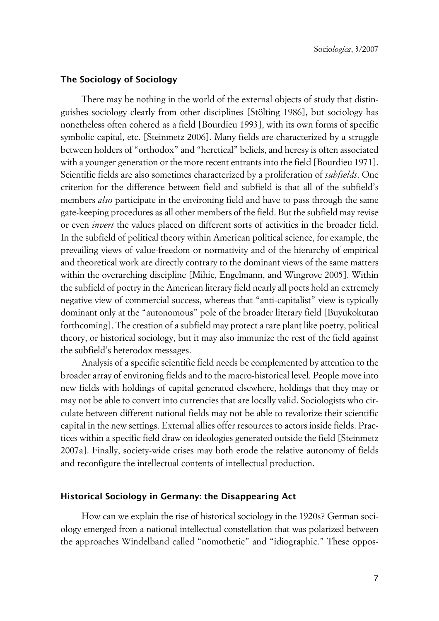# **xThe Sociology of Sociology**

There may be nothing in the world of the external objects of study that distinguishes sociology clearly from other disciplines [Stölting 1986], but sociology has nonetheless often cohered as a field [Bourdieu 1993], with its own forms of specific symbolic capital, etc. [Steinmetz 2006]. Many fields are characterized by a struggle between holders of "orthodox" and "heretical" beliefs, and heresy is often associated with a younger generation or the more recent entrants into the field [Bourdieu 1971]. Scientific fields are also sometimes characterized by a proliferation of *subfields*. One criterion for the difference between field and subfield is that all of the subfield's members *also* participate in the environing field and have to pass through the same gate-keeping procedures as all other members of the field. But the subfield may revise or even *invert* the values placed on different sorts of activities in the broader field. In the subfield of political theory within American political science, for example, the prevailing views of value-freedom or normativity and of the hierarchy of empirical and theoretical work are directly contrary to the dominant views of the same matters within the overarching discipline [Mihic, Engelmann, and Wingrove 2005]. Within the subfield of poetry in the American literary field nearly all poets hold an extremely negative view of commercial success, whereas that "anti-capitalist" view is typically dominant only at the "autonomous" pole of the broader literary field [Buyukokutan forthcoming]. The creation of a subfield may protect a rare plant like poetry, political theory, or historical sociology, but it may also immunize the rest of the field against the subfield's heterodox messages.

Analysis of a specific scientific field needs be complemented by attention to the broader array of environing fields and to the macro-historical level. People move into new fields with holdings of capital generated elsewhere, holdings that they may or may not be able to convert into currencies that are locally valid. Sociologists who circulate between different national fields may not be able to revalorize their scientific capital in the new settings. External allies offer resources to actors inside fields. Practices within a specific field draw on ideologies generated outside the field [Steinmetz 2007a]. Finally, society-wide crises may both erode the relative autonomy of fields and reconfigure the intellectual contents of intellectual production.

# **xHistorical Sociology in Germany: the Disappearing Act**

How can we explain the rise of historical sociology in the 1920s? German sociology emerged from a national intellectual constellation that was polarized between the approaches Windelband called "nomothetic" and "idiographic." These oppos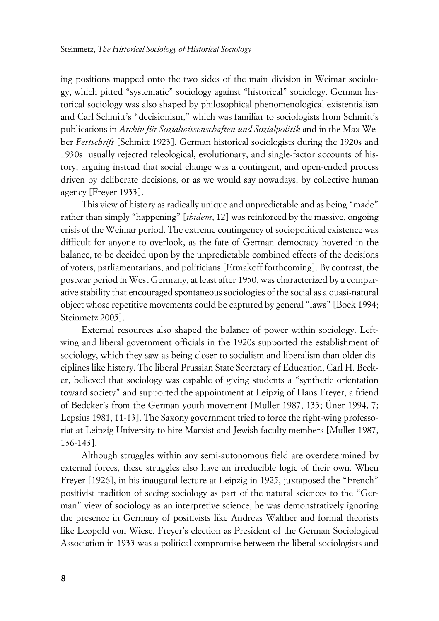ing positions mapped onto the two sides of the main division in Weimar sociology, which pitted "systematic" sociology against "historical" sociology. German historical sociology was also shaped by philosophical phenomenological existentialism and Carl Schmitt's "decisionism," which was familiar to sociologists from Schmitt's publications in *Archiv für Sozialwissenschaften und Sozialpolitik* and in the Max Weber *Festschrift* [Schmitt 1923]. German historical sociologists during the 1920s and 1930s usually rejected teleological, evolutionary, and single-factor accounts of history, arguing instead that social change was a contingent, and open-ended process driven by deliberate decisions, or as we would say nowadays, by collective human agency [Freyer 1933].

This view of history as radically unique and unpredictable and as being "made" rather than simply "happening" [*ibidem*, 12] was reinforced by the massive, ongoing crisis of the Weimar period. The extreme contingency of sociopolitical existence was difficult for anyone to overlook, as the fate of German democracy hovered in the balance, to be decided upon by the unpredictable combined effects of the decisions of voters, parliamentarians, and politicians [Ermakoff forthcoming]. By contrast, the postwar period in West Germany, at least after 1950, was characterized by a comparative stability that encouraged spontaneous sociologies of the social as a quasi-natural object whose repetitive movements could be captured by general "laws" [Bock 1994; Steinmetz 2005].

External resources also shaped the balance of power within sociology. Leftwing and liberal government officials in the 1920s supported the establishment of sociology, which they saw as being closer to socialism and liberalism than older disciplines like history. The liberal Prussian State Secretary of Education, Carl H. Becker, believed that sociology was capable of giving students a "synthetic orientation toward society" and supported the appointment at Leipzig of Hans Freyer, a friend of Bedcker's from the German youth movement [Muller 1987, 133; Üner 1994, 7; Lepsius 1981, 11-13]. The Saxony government tried to force the right-wing professoriat at Leipzig University to hire Marxist and Jewish faculty members [Muller 1987, 136-143].

Although struggles within any semi-autonomous field are overdetermined by external forces, these struggles also have an irreducible logic of their own. When Freyer [1926], in his inaugural lecture at Leipzig in 1925, juxtaposed the "French" positivist tradition of seeing sociology as part of the natural sciences to the "German" view of sociology as an interpretive science, he was demonstratively ignoring the presence in Germany of positivists like Andreas Walther and formal theorists like Leopold von Wiese. Freyer's election as President of the German Sociological Association in 1933 was a political compromise between the liberal sociologists and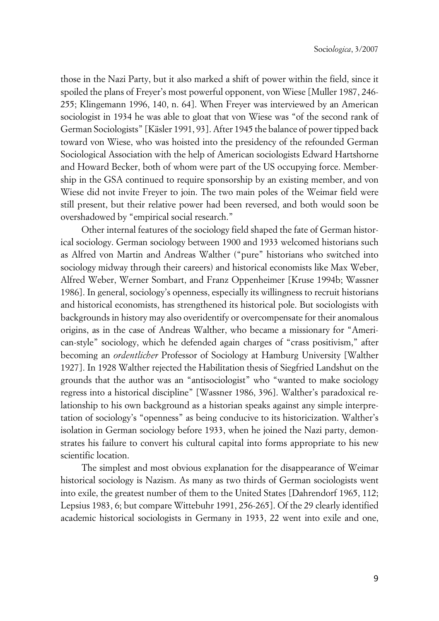those in the Nazi Party, but it also marked a shift of power within the field, since it spoiled the plans of Freyer's most powerful opponent, von Wiese [Muller 1987, 246- 255; Klingemann 1996, 140, n. 64]. When Freyer was interviewed by an American sociologist in 1934 he was able to gloat that von Wiese was "of the second rank of German Sociologists" [Käsler 1991, 93]. After 1945 the balance of power tipped back toward von Wiese, who was hoisted into the presidency of the refounded German Sociological Association with the help of American sociologists Edward Hartshorne and Howard Becker, both of whom were part of the US occupying force. Membership in the GSA continued to require sponsorship by an existing member, and von Wiese did not invite Freyer to join. The two main poles of the Weimar field were still present, but their relative power had been reversed, and both would soon be overshadowed by "empirical social research."

Other internal features of the sociology field shaped the fate of German historical sociology. German sociology between 1900 and 1933 welcomed historians such as Alfred von Martin and Andreas Walther ("pure" historians who switched into sociology midway through their careers) and historical economists like Max Weber, Alfred Weber, Werner Sombart, and Franz Oppenheimer [Kruse 1994b; Wassner 1986]. In general, sociology's openness, especially its willingness to recruit historians and historical economists, has strengthened its historical pole. But sociologists with backgrounds in history may also overidentify or overcompensate for their anomalous origins, as in the case of Andreas Walther, who became a missionary for "American-style" sociology, which he defended again charges of "crass positivism," after becoming an *ordentlicher* Professor of Sociology at Hamburg University [Walther 1927]. In 1928 Walther rejected the Habilitation thesis of Siegfried Landshut on the grounds that the author was an "antisociologist" who "wanted to make sociology regress into a historical discipline" [Wassner 1986, 396]. Walther's paradoxical relationship to his own background as a historian speaks against any simple interpretation of sociology's "openness" as being conducive to its historicization. Walther's isolation in German sociology before 1933, when he joined the Nazi party, demonstrates his failure to convert his cultural capital into forms appropriate to his new scientific location.

The simplest and most obvious explanation for the disappearance of Weimar historical sociology is Nazism. As many as two thirds of German sociologists went into exile, the greatest number of them to the United States [Dahrendorf 1965, 112; Lepsius 1983, 6; but compare Wittebuhr 1991, 256-265]. Of the 29 clearly identified academic historical sociologists in Germany in 1933, 22 went into exile and one,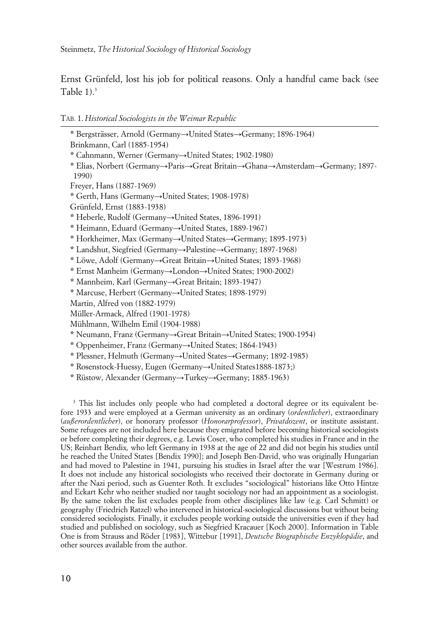Ernst Grünfeld, lost his job for political reasons. Only a handful came back (see Table  $1$ ).<sup>3</sup>

TAB. 1. *Historical Sociologists in the Weimar Republic*

\* Bergsträsser, Arnold (Germany->United States-Germany; 1896-1964) Brinkmann, Carl (1885-1954) \* Cahnmann, Werner (Germany->United States; 1902-1980) \* Elias, Norbert (Germany-Paris->Great Britain->Ghana->Amsterdam->Germany; 1897-1990) Freyer, Hans (1887-1969) **\*** Gerth, Hans (Germany→United States; 1908-1978) Grünfeld, Ernst (1883-1938) \* Heberle, Rudolf (Germany->United States, 1896-1991) \* Heimann, Eduard (Germany->United States, 1889-1967) \* Horkheimer, Max (Germany->United States->Germany; 1895-1973) \* Landshut, Siegfried (Germany-Palestine-Germany; 1897-1968) \* Löwe, Adolf (Germany-Great Britain-United States; 1893-1968) \* Ernst Manheim (Germany->London->United States; 1900-2002) \* Mannheim, Karl (Germany-+Great Britain; 1893-1947) \* Marcuse, Herbert (Germany-United States; 1898-1979) Martin, Alfred von (1882-1979) Müller-Armack, Alfred (1901-1978) Mühlmann, Wilhelm Emil (1904-1988) **\*** Neumann, Franz (Germany→Great Britain→United States; 1900-1954) \* Oppenheimer, Franz (Germany->United States; 1864-1943) \* Plessner, Helmuth (Germany->United States->Germany; 1892-1985) \* Rosenstock-Huessy, Eugen (Germany-United States1888-1873;)

\* Rüstow, Alexander (Germany-Turkey-Germany; 1885-1963)

<sup>3</sup> This list includes only people who had completed a doctoral degree or its equivalent before 1933 and were employed at a German university as an ordinary (*ordentlicher*), extraordinary (*außerordentlicher*), or honorary professor (*Honorarprofessor*), *Privatdozent*, or institute assistant. Some refugees are not included here because they emigrated before becoming historical sociologists or before completing their degrees, e.g. Lewis Coser, who completed his studies in France and in the US; Reinhart Bendix*,* who left Germany in 1938 at the age of 22 and did not begin his studies until he reached the United States [Bendix 1990]; and Joseph Ben-David, who was originally Hungarian and had moved to Palestine in 1941, pursuing his studies in Israel after the war [Westrum 1986]. It does not include any historical sociologists who received their doctorate in Germany during or after the Nazi period, such as Guenter Roth. It excludes "sociological" historians like Otto Hintze and Eckart Kehr who neither studied nor taught sociology nor had an appointment as a sociologist. By the same token the list excludes people from other disciplines like law (e.g. Carl Schmitt) or geography (Friedrich Ratzel) who intervened in historical-sociological discussions but without being considered sociologists. Finally, it excludes people working outside the universities even if they had studied and published on sociology, such as Siegfried Kracauer [Koch 2000]. Information in Table One is from Strauss and Röder [1983], Wittebur [1991], *Deutsche Biographische Enzyklopädie*, and other sources available from the author.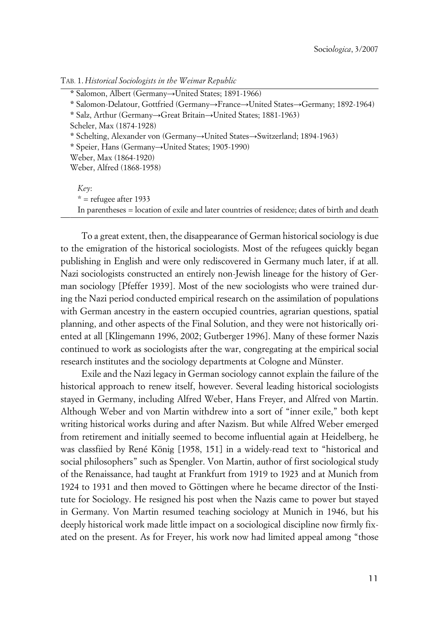| TAB. 1. Historical Sociologists in the Weimar Republic |  |
|--------------------------------------------------------|--|
|--------------------------------------------------------|--|

\* Salomon, Albert (Germany->United States; 1891-1966)

\* Salomon-Delatour, Gottfried (Germany->France->United States->Germany; 1892-1964)

**\* Salz, Arthur (Germany→Great Britain→United States; 1881-1963)** 

Scheler, Max (1874-1928)

\* Schelting, Alexander von (Germany->United States->Switzerland; 1894-1963)

\* Speier, Hans (Germany
ightarrow United States; 1905-1990)

Weber, Max (1864-1920)

Weber, Alfred (1868-1958)

*Key*:  $*$  = refugee after 1933 In parentheses = location of exile and later countries of residence; dates of birth and death

To a great extent, then, the disappearance of German historical sociology is due to the emigration of the historical sociologists. Most of the refugees quickly began publishing in English and were only rediscovered in Germany much later, if at all. Nazi sociologists constructed an entirely non-Jewish lineage for the history of German sociology [Pfeffer 1939]. Most of the new sociologists who were trained during the Nazi period conducted empirical research on the assimilation of populations with German ancestry in the eastern occupied countries, agrarian questions, spatial planning, and other aspects of the Final Solution, and they were not historically oriented at all [Klingemann 1996, 2002; Gutberger 1996]. Many of these former Nazis continued to work as sociologists after the war, congregating at the empirical social research institutes and the sociology departments at Cologne and Münster.

Exile and the Nazi legacy in German sociology cannot explain the failure of the historical approach to renew itself, however. Several leading historical sociologists stayed in Germany, including Alfred Weber, Hans Freyer, and Alfred von Martin. Although Weber and von Martin withdrew into a sort of "inner exile," both kept writing historical works during and after Nazism. But while Alfred Weber emerged from retirement and initially seemed to become influential again at Heidelberg, he was classfiied by René König [1958, 151] in a widely-read text to "historical and social philosophers" such as Spengler. Von Martin, author of first sociological study of the Renaissance, had taught at Frankfurt from 1919 to 1923 and at Munich from 1924 to 1931 and then moved to Göttingen where he became director of the Institute for Sociology. He resigned his post when the Nazis came to power but stayed in Germany. Von Martin resumed teaching sociology at Munich in 1946, but his deeply historical work made little impact on a sociological discipline now firmly fixated on the present. As for Freyer, his work now had limited appeal among "those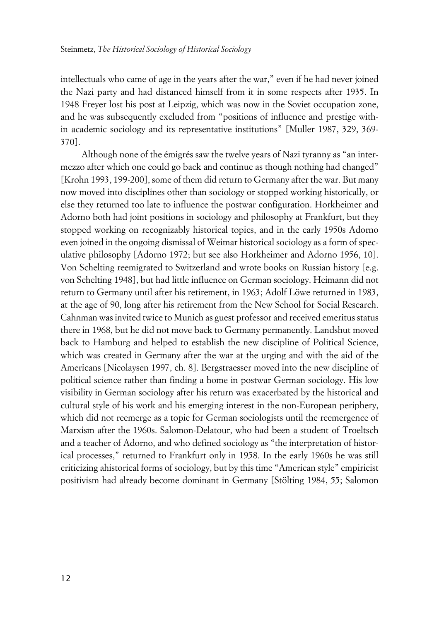intellectuals who came of age in the years after the war," even if he had never joined the Nazi party and had distanced himself from it in some respects after 1935. In 1948 Freyer lost his post at Leipzig, which was now in the Soviet occupation zone, and he was subsequently excluded from "positions of influence and prestige within academic sociology and its representative institutions" [Muller 1987, 329, 369- 370].

Although none of the émigrés saw the twelve years of Nazi tyranny as "an intermezzo after which one could go back and continue as though nothing had changed" [Krohn 1993, 199-200], some of them did return to Germany after the war. But many now moved into disciplines other than sociology or stopped working historically, or else they returned too late to influence the postwar configuration. Horkheimer and Adorno both had joint positions in sociology and philosophy at Frankfurt, but they stopped working on recognizably historical topics, and in the early 1950s Adorno even joined in the ongoing dismissal of Weimar historical sociology as a form of speculative philosophy [Adorno 1972; but see also Horkheimer and Adorno 1956, 10]. Von Schelting reemigrated to Switzerland and wrote books on Russian history [e.g. von Schelting 1948], but had little influence on German sociology. Heimann did not return to Germany until after his retirement, in 1963; Adolf Löwe returned in 1983, at the age of 90, long after his retirement from the New School for Social Research. Cahnman was invited twice to Munich as guest professor and received emeritus status there in 1968, but he did not move back to Germany permanently. Landshut moved back to Hamburg and helped to establish the new discipline of Political Science, which was created in Germany after the war at the urging and with the aid of the Americans [Nicolaysen 1997, ch. 8]. Bergstraesser moved into the new discipline of political science rather than finding a home in postwar German sociology. His low visibility in German sociology after his return was exacerbated by the historical and cultural style of his work and his emerging interest in the non-European periphery, which did not reemerge as a topic for German sociologists until the reemergence of Marxism after the 1960s. Salomon-Delatour, who had been a student of Troeltsch and a teacher of Adorno, and who defined sociology as "the interpretation of historical processes," returned to Frankfurt only in 1958. In the early 1960s he was still criticizing ahistorical forms of sociology, but by this time "American style" empiricist positivism had already become dominant in Germany [Stölting 1984, 55; Salomon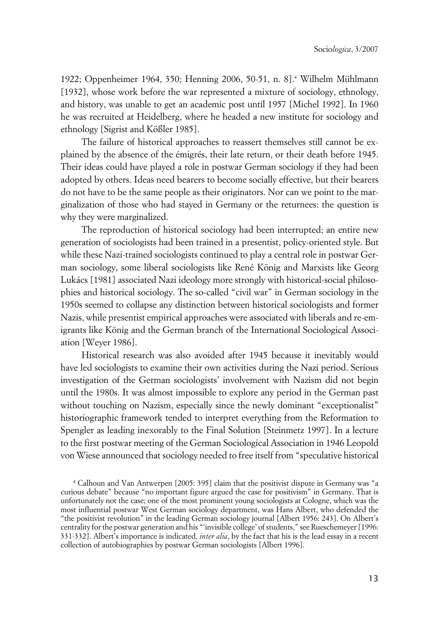1922; Oppenheimer 1964, 350; Henning 2006, 50-51, n. 8].<sup>4</sup> Wilhelm Mühlmann [1932], whose work before the war represented a mixture of sociology, ethnology, and history, was unable to get an academic post until 1957 [Michel 1992]. In 1960 he was recruited at Heidelberg, where he headed a new institute for sociology and ethnology [Sigrist and Kößler 1985].

The failure of historical approaches to reassert themselves still cannot be explained by the absence of the émigrés, their late return, or their death before 1945. Their ideas could have played a role in postwar German sociology if they had been adopted by others. Ideas need bearers to become socially effective, but their bearers do not have to be the same people as their originators. Nor can we point to the marginalization of those who had stayed in Germany or the returnees: the question is why they were marginalized.

The reproduction of historical sociology had been interrupted; an entire new generation of sociologists had been trained in a presentist, policy-oriented style. But while these Nazi-trained sociologists continued to play a central role in postwar German sociology, some liberal sociologists like René König and Marxists like Georg Lukács [1981] associated Nazi ideology more strongly with historical-social philosophies and historical sociology. The so-called "civil war" in German sociology in the 1950s seemed to collapse any distinction between historical sociologists and former Nazis, while presentist empirical approaches were associated with liberals and re-emigrants like König and the German branch of the International Sociological Association [Weyer 1986].

Historical research was also avoided after 1945 because it inevitably would have led sociologists to examine their own activities during the Nazi period. Serious investigation of the German sociologists' involvement with Nazism did not begin until the 1980s. It was almost impossible to explore any period in the German past without touching on Nazism, especially since the newly dominant "exceptionalist" historiographic framework tended to interpret everything from the Reformation to Spengler as leading inexorably to the Final Solution [Steinmetz 1997]. In a lecture to the first postwar meeting of the German Sociological Association in 1946 Leopold von Wiese announced that sociology needed to free itself from "speculative historical

<sup>4</sup> Calhoun and Van Antwerpen [2005: 395] claim that the positivist dispute in Germany was "a curious debate" because "no important figure argued the case for positivism" in Germany. That is unfortunately not the case; one of the most prominent young sociologists at Cologne, which was the most influential postwar West German sociology department, was Hans Albert, who defended the "the positivist revolution" in the leading German sociology journal [Albert 1956: 243]. On Albert's centrality for the postwar generation and his "'invisible college' of students," see Rueschemeyer [1996: 331-332]. Albert's importance is indicated, *inter alia*, by the fact that his is the lead essay in a recent collection of autobiographies by postwar German sociologists [Albert 1996].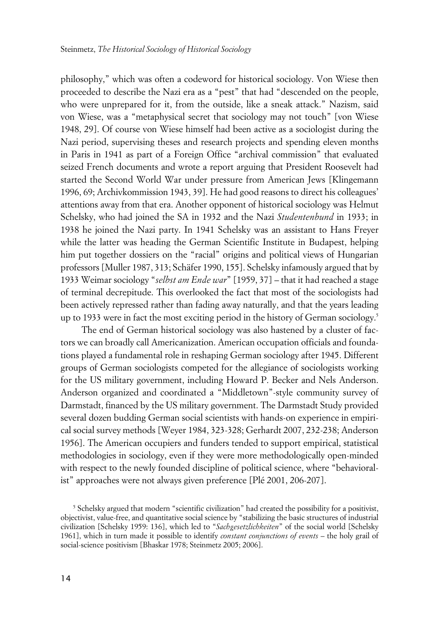philosophy," which was often a codeword for historical sociology. Von Wiese then proceeded to describe the Nazi era as a "pest" that had "descended on the people, who were unprepared for it, from the outside, like a sneak attack." Nazism, said von Wiese, was a "metaphysical secret that sociology may not touch" [von Wiese 1948, 29]. Of course von Wiese himself had been active as a sociologist during the Nazi period, supervising theses and research projects and spending eleven months in Paris in 1941 as part of a Foreign Office "archival commission" that evaluated seized French documents and wrote a report arguing that President Roosevelt had started the Second World War under pressure from American Jews [Klingemann 1996, 69; Archivkommission 1943, 39]. He had good reasons to direct his colleagues' attentions away from that era. Another opponent of historical sociology was Helmut Schelsky, who had joined the SA in 1932 and the Nazi *Studentenbund* in 1933; in 1938 he joined the Nazi party. In 1941 Schelsky was an assistant to Hans Freyer while the latter was heading the German Scientific Institute in Budapest, helping him put together dossiers on the "racial" origins and political views of Hungarian professors [Muller 1987, 313; Schäfer 1990, 155]. Schelsky infamously argued that by 1933 Weimar sociology "*selbst am Ende war*" [1959, 37] – that it had reached a stage of terminal decrepitude. This overlooked the fact that most of the sociologists had been actively repressed rather than fading away naturally, and that the years leading up to 1933 were in fact the most exciting period in the history of German sociology.<sup>5</sup>

The end of German historical sociology was also hastened by a cluster of factors we can broadly call Americanization. American occupation officials and foundations played a fundamental role in reshaping German sociology after 1945. Different groups of German sociologists competed for the allegiance of sociologists working for the US military government, including Howard P. Becker and Nels Anderson. Anderson organized and coordinated a "Middletown"-style community survey of Darmstadt, financed by the US military government. The Darmstadt Study provided several dozen budding German social scientists with hands-on experience in empirical social survey methods [Weyer 1984, 323-328; Gerhardt 2007, 232-238; Anderson 1956]. The American occupiers and funders tended to support empirical, statistical methodologies in sociology, even if they were more methodologically open-minded with respect to the newly founded discipline of political science, where "behavioralist" approaches were not always given preference [Plé 2001, 206-207].

<sup>&</sup>lt;sup>5</sup> Schelsky argued that modern "scientific civilization" had created the possibility for a positivist, objectivist, value-free, and quantitative social science by "stabilizing the basic structures of industrial civilization [Schelsky 1959: 136], which led to "*Sachgesetzlichkeiten*" of the social world [Schelsky 1961], which in turn made it possible to identify *constant conjunctions of events* – the holy grail of social-science positivism [Bhaskar 1978; Steinmetz 2005; 2006].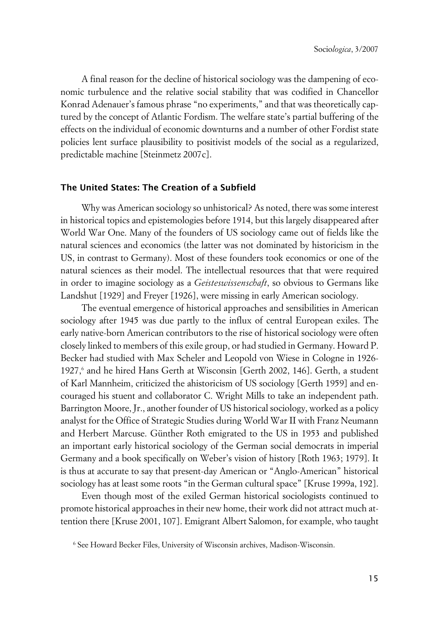A final reason for the decline of historical sociology was the dampening of economic turbulence and the relative social stability that was codified in Chancellor Konrad Adenauer's famous phrase "no experiments," and that was theoretically captured by the concept of Atlantic Fordism. The welfare state's partial buffering of the effects on the individual of economic downturns and a number of other Fordist state policies lent surface plausibility to positivist models of the social as a regularized, predictable machine [Steinmetz 2007c].

## **xThe United States: The Creation of a Subfield**

Why was American sociology so unhistorical? As noted, there was some interest in historical topics and epistemologies before 1914, but this largely disappeared after World War One. Many of the founders of US sociology came out of fields like the natural sciences and economics (the latter was not dominated by historicism in the US, in contrast to Germany). Most of these founders took economics or one of the natural sciences as their model. The intellectual resources that that were required in order to imagine sociology as a *Geisteswissenschaft*, so obvious to Germans like Landshut [1929] and Freyer [1926], were missing in early American sociology.

The eventual emergence of historical approaches and sensibilities in American sociology after 1945 was due partly to the influx of central European exiles. The early native-born American contributors to the rise of historical sociology were often closely linked to members of this exile group, or had studied in Germany. Howard P. Becker had studied with Max Scheler and Leopold von Wiese in Cologne in 1926- 1927,<sup>6</sup> and he hired Hans Gerth at Wisconsin [Gerth 2002, 146]. Gerth, a student of Karl Mannheim, criticized the ahistoricism of US sociology [Gerth 1959] and encouraged his stuent and collaborator C. Wright Mills to take an independent path. Barrington Moore, Jr., another founder of US historical sociology, worked as a policy analyst for the Office of Strategic Studies during World War II with Franz Neumann and Herbert Marcuse. Günther Roth emigrated to the US in 1953 and published an important early historical sociology of the German social democrats in imperial Germany and a book specifically on Weber's vision of history [Roth 1963; 1979]. It is thus at accurate to say that present-day American or "Anglo-American" historical sociology has at least some roots "in the German cultural space" [Kruse 1999a, 192].

Even though most of the exiled German historical sociologists continued to promote historical approaches in their new home, their work did not attract much attention there [Kruse 2001, 107]. Emigrant Albert Salomon, for example, who taught  $\ddot{x}$ 

<sup>6</sup> See Howard Becker Files, University of Wisconsin archives, Madison-Wisconsin.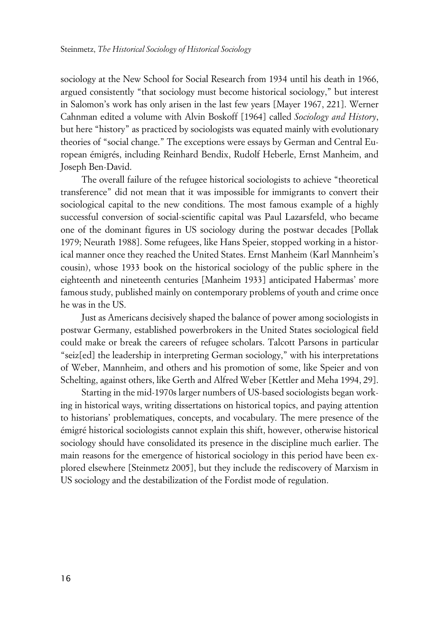sociology at the New School for Social Research from 1934 until his death in 1966, argued consistently "that sociology must become historical sociology," but interest in Salomon's work has only arisen in the last few years [Mayer 1967, 221]. Werner Cahnman edited a volume with Alvin Boskoff [1964] called *Sociology and History*, but here "history" as practiced by sociologists was equated mainly with evolutionary theories of "social change." The exceptions were essays by German and Central European émigrés, including Reinhard Bendix, Rudolf Heberle, Ernst Manheim, and Joseph Ben-David.

The overall failure of the refugee historical sociologists to achieve "theoretical transference" did not mean that it was impossible for immigrants to convert their sociological capital to the new conditions. The most famous example of a highly successful conversion of social-scientific capital was Paul Lazarsfeld, who became one of the dominant figures in US sociology during the postwar decades [Pollak 1979; Neurath 1988]. Some refugees, like Hans Speier, stopped working in a historical manner once they reached the United States. Ernst Manheim (Karl Mannheim's cousin), whose 1933 book on the historical sociology of the public sphere in the eighteenth and nineteenth centuries [Manheim 1933] anticipated Habermas' more famous study, published mainly on contemporary problems of youth and crime once he was in the US.

Just as Americans decisively shaped the balance of power among sociologists in postwar Germany, established powerbrokers in the United States sociological field could make or break the careers of refugee scholars. Talcott Parsons in particular "seiz[ed] the leadership in interpreting German sociology," with his interpretations of Weber, Mannheim, and others and his promotion of some, like Speier and von Schelting, against others, like Gerth and Alfred Weber [Kettler and Meha 1994, 29].

Starting in the mid-1970s larger numbers of US-based sociologists began working in historical ways, writing dissertations on historical topics, and paying attention to historians' problematiques, concepts, and vocabulary. The mere presence of the émigré historical sociologists cannot explain this shift, however, otherwise historical sociology should have consolidated its presence in the discipline much earlier. The main reasons for the emergence of historical sociology in this period have been explored elsewhere [Steinmetz 2005], but they include the rediscovery of Marxism in US sociology and the destabilization of the Fordist mode of regulation.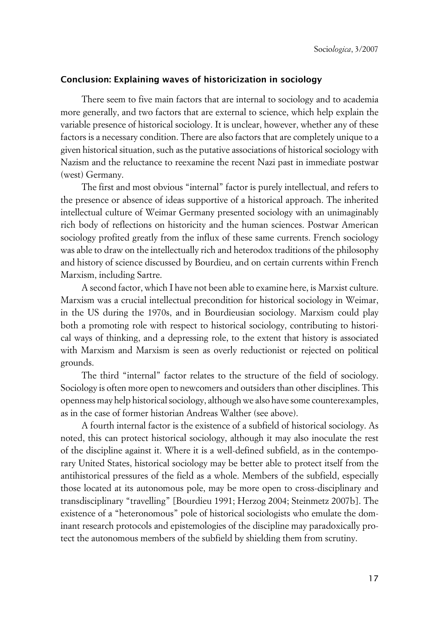# **xConclusion: Explaining waves of historicization in sociology**

There seem to five main factors that are internal to sociology and to academia more generally, and two factors that are external to science, which help explain the variable presence of historical sociology. It is unclear, however, whether any of these factors is a necessary condition. There are also factors that are completely unique to a given historical situation, such as the putative associations of historical sociology with Nazism and the reluctance to reexamine the recent Nazi past in immediate postwar (west) Germany.

The first and most obvious "internal" factor is purely intellectual, and refers to the presence or absence of ideas supportive of a historical approach. The inherited intellectual culture of Weimar Germany presented sociology with an unimaginably rich body of reflections on historicity and the human sciences. Postwar American sociology profited greatly from the influx of these same currents. French sociology was able to draw on the intellectually rich and heterodox traditions of the philosophy and history of science discussed by Bourdieu, and on certain currents within French Marxism, including Sartre.

A second factor, which I have not been able to examine here, is Marxist culture. Marxism was a crucial intellectual precondition for historical sociology in Weimar, in the US during the 1970s, and in Bourdieusian sociology. Marxism could play both a promoting role with respect to historical sociology, contributing to historical ways of thinking, and a depressing role, to the extent that history is associated with Marxism and Marxism is seen as overly reductionist or rejected on political grounds.

The third "internal" factor relates to the structure of the field of sociology. Sociology is often more open to newcomers and outsiders than other disciplines. This openness may help historical sociology, although we also have some counterexamples, as in the case of former historian Andreas Walther (see above).

A fourth internal factor is the existence of a subfield of historical sociology. As noted, this can protect historical sociology, although it may also inoculate the rest of the discipline against it. Where it is a well-defined subfield, as in the contemporary United States, historical sociology may be better able to protect itself from the antihistorical pressures of the field as a whole. Members of the subfield, especially those located at its autonomous pole, may be more open to cross-disciplinary and transdisciplinary "travelling" [Bourdieu 1991; Herzog 2004; Steinmetz 2007b]. The existence of a "heteronomous" pole of historical sociologists who emulate the dominant research protocols and epistemologies of the discipline may paradoxically protect the autonomous members of the subfield by shielding them from scrutiny.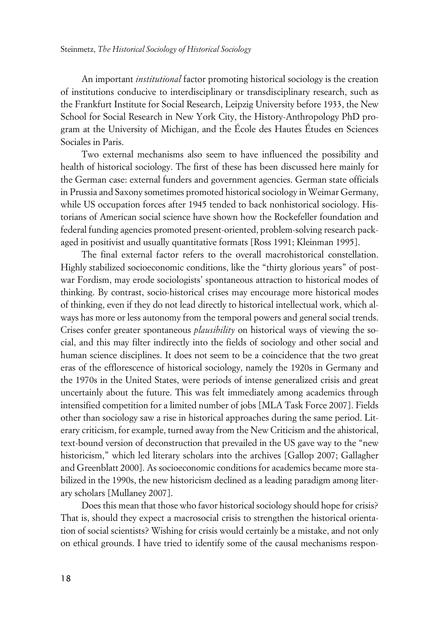An important *institutional* factor promoting historical sociology is the creation of institutions conducive to interdisciplinary or transdisciplinary research, such as the Frankfurt Institute for Social Research, Leipzig University before 1933, the New School for Social Research in New York City, the History-Anthropology PhD program at the University of Michigan, and the École des Hautes Études en Sciences Sociales in Paris.

Two external mechanisms also seem to have influenced the possibility and health of historical sociology. The first of these has been discussed here mainly for the German case: external funders and government agencies. German state officials in Prussia and Saxony sometimes promoted historical sociology in Weimar Germany, while US occupation forces after 1945 tended to back nonhistorical sociology. Historians of American social science have shown how the Rockefeller foundation and federal funding agencies promoted present-oriented, problem-solving research packaged in positivist and usually quantitative formats [Ross 1991; Kleinman 1995].

The final external factor refers to the overall macrohistorical constellation. Highly stabilized socioeconomic conditions, like the "thirty glorious years" of postwar Fordism, may erode sociologists' spontaneous attraction to historical modes of thinking. By contrast, socio-historical crises may encourage more historical modes of thinking, even if they do not lead directly to historical intellectual work, which always has more or less autonomy from the temporal powers and general social trends. Crises confer greater spontaneous *plausibility* on historical ways of viewing the social, and this may filter indirectly into the fields of sociology and other social and human science disciplines. It does not seem to be a coincidence that the two great eras of the efflorescence of historical sociology, namely the 1920s in Germany and the 1970s in the United States, were periods of intense generalized crisis and great uncertainly about the future. This was felt immediately among academics through intensified competition for a limited number of jobs [MLA Task Force 2007]. Fields other than sociology saw a rise in historical approaches during the same period. Literary criticism, for example, turned away from the New Criticism and the ahistorical, text-bound version of deconstruction that prevailed in the US gave way to the "new historicism," which led literary scholars into the archives [Gallop 2007; Gallagher and Greenblatt 2000]. As socioeconomic conditions for academics became more stabilized in the 1990s, the new historicism declined as a leading paradigm among literary scholars [Mullaney 2007].

Does this mean that those who favor historical sociology should hope for crisis? That is, should they expect a macrosocial crisis to strengthen the historical orientation of social scientists? Wishing for crisis would certainly be a mistake, and not only on ethical grounds. I have tried to identify some of the causal mechanisms respon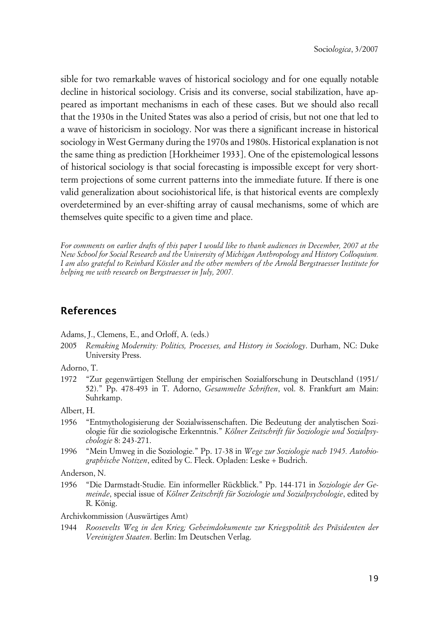sible for two remarkable waves of historical sociology and for one equally notable decline in historical sociology. Crisis and its converse, social stabilization, have appeared as important mechanisms in each of these cases. But we should also recall that the 1930s in the United States was also a period of crisis, but not one that led to a wave of historicism in sociology. Nor was there a significant increase in historical sociology in West Germany during the 1970s and 1980s. Historical explanation is not the same thing as prediction [Horkheimer 1933]. One of the epistemological lessons of historical sociology is that social forecasting is impossible except for very shortterm projections of some current patterns into the immediate future. If there is one valid generalization about sociohistorical life, is that historical events are complexly overdetermined by an ever-shifting array of causal mechanisms, some of which are themselves quite specific to a given time and place.

*For comments on earlier drafts of this paper I would like to thank audiences in December, 2007 at the New School for Social Research and the University of Michigan Anthropology and History Colloquium. I am also grateful to Reinhard Kössler and the other members of the Arnold Bergstraesser Institute for helping me with research on Bergstraesser in July, 2007.*

# **References**

Adams, J., Clemens, E., and Orloff, A. (eds.)

2005 *Remaking Modernity: Politics, Processes, and History in Sociology*. Durham, NC: Duke University Press.

Adorno, T.

1972 "Zur gegenwärtigen Stellung der empirischen Sozialforschung in Deutschland (1951/ 52)." Pp. 478-493 in T. Adorno, *Gesammelte Schriften*, vol. 8. Frankfurt am Main: Suhrkamp.

Albert, H.

- 1956 "Entmythologisierung der Sozialwissenschaften. Die Bedeutung der analytischen Soziologie für die soziologische Erkenntnis." *Kölner Zeitschrift für Soziologie und Sozialpsychologie* 8: 243-271.
- 1996 "Mein Umweg in die Soziologie." Pp. 17-38 in *Wege zur Soziologie nach 1945. Autobiographische Notizen*, edited by C. Fleck. Opladen: Leske + Budrich.

Anderson, N.

1956 "Die Darmstadt-Studie. Ein informeller Rückblick." Pp. 144-171 in *Soziologie der Gemeinde*, special issue of *Kölner Zeitschrift für Soziologie und Sozialpsychologie*, edited by R. König.

Archivkommission (Auswärtiges Amt)

1944 *Roosevelts Weg in den Krieg; Geheimdokumente zur Kriegspolitik des Präsidenten der Vereinigten Staaten*. Berlin: Im Deutschen Verlag.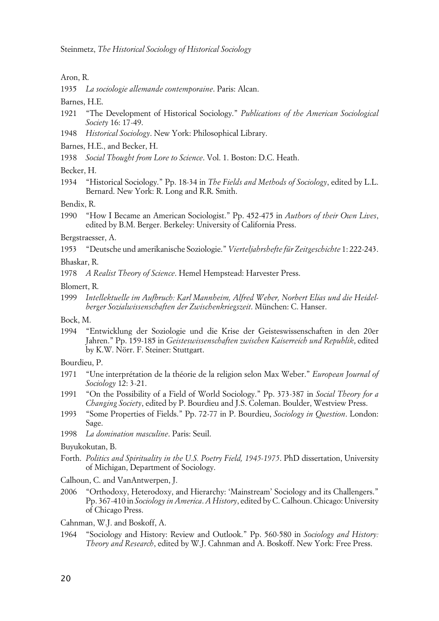Aron, R.

1935 *La sociologie allemande contemporaine*. Paris: Alcan.

Barnes, H.E.

- 1921 "The Development of Historical Sociology." *Publications of the American Sociological Society* 16: 17-49.
- 1948 *Historical Sociology*. New York: Philosophical Library.
- Barnes, H.E., and Becker, H.
- 1938 *Social Thought from Lore to Science*. Vol. 1. Boston: D.C. Heath.

Becker, H.

1934 "Historical Sociology." Pp. 18-34 in *The Fields and Methods of Sociology*, edited by L.L. Bernard. New York: R. Long and R.R. Smith.

Bendix, R.

1990 "How I Became an American Sociologist." Pp. 452-475 in *Authors of their Own Lives*, edited by B.M. Berger. Berkeley: University of California Press.

#### Bergstraesser, A.

1953 "Deutsche und amerikanische Soziologie." *Vierteljahrshefte für Zeitgeschichte* 1: 222-243.

Bhaskar, R.

- 1978 *A Realist Theory of Science*. Hemel Hempstead: Harvester Press.
- Blomert, R.
- 1999 *Intellektuelle im Aufbruch: Karl Mannheim, Alfred Weber, Norbert Elias und die Heidelberger Sozialwissenschaften der Zwischenkriegszeit*. München: C. Hanser.

Bock, M.

1994 "Entwicklung der Soziologie und die Krise der Geisteswissenschaften in den 20er Jahren." Pp. 159-185 in *Geisteswissenschaften zwischen Kaiserreich und Republik*, edited by K.W. Nörr. F. Steiner: Stuttgart.

Bourdieu, P.

- 1971 "Une interprétation de la théorie de la religion selon Max Weber." *European Journal of Sociology* 12: 3-21.
- 1991 "On the Possibility of a Field of World Sociology." Pp. 373-387 in *Social Theory for a Changing Society*, edited by P. Bourdieu and J.S. Coleman. Boulder, Westview Press.
- 1993 "Some Properties of Fields." Pp. 72-77 in P. Bourdieu, *Sociology in Question*. London: Sage.
- 1998 *La domination masculine*. Paris: Seuil.

#### Buyukokutan, B.

- Forth. *Politics and Spirituality in the U.S. Poetry Field, 1945-1975*. PhD dissertation, University of Michigan, Department of Sociology.
- Calhoun, C. and VanAntwerpen, J.
- 2006 "Orthodoxy, Heterodoxy, and Hierarchy: 'Mainstream' Sociology and its Challengers." Pp. 367-410 in *Sociology in America*. *A History*, edited by C. Calhoun. Chicago: University of Chicago Press.
- Cahnman, W.J. and Boskoff, A.
- 1964 "Sociology and History: Review and Outlook." Pp. 560-580 in *Sociology and History: Theory and Research*, edited by W.J. Cahnman and A. Boskoff. New York: Free Press.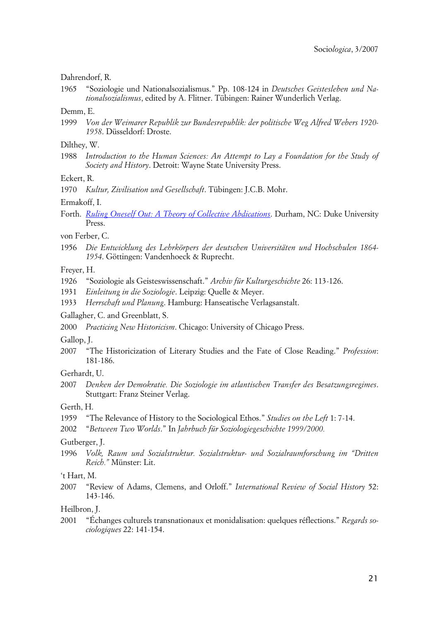#### Dahrendorf, R.

1965 "Soziologie und Nationalsozialismus." Pp. 108-124 in *Deutsches Geistesleben und Nationalsozialismus*, edited by A. Flitner. Tübingen: Rainer Wunderlich Verlag.

#### Demm, E.

1999 *Von der Weimarer Republik zur Bundesrepublik: der politische Weg Alfred Webers 1920- 1958*. Düsseldorf: Droste.

#### Dilthey, W.

1988 *Introduction to the Human Sciences: An Attempt to Lay a Foundation for the Study of Society and History*. Detroit: Wayne State University Press.

Eckert, R.

1970 *Kultur, Zivilisation und Gesellschaft*. Tübingen: J.C.B. Mohr.

Ermakoff, I.

Forth. *[Ruling Oneself Out: A Theory of Collective Abdications](http://www.amazon.com/Ruling-Oneself-Out-Collective-Abdications/dp/0822341646/ref=?sr_1_1/105-3445769-7341239?ie=??UTF8&s=??books&qid=??1197066578&sr=??8-1?)*. Durham, NC: Duke University Press.

von Ferber, C.

1956 *Die Entwicklung des Lehrkörpers der deutschen Universitäten und Hochschulen 1864- 1954*. Göttingen: Vandenhoeck & Ruprecht.

Freyer, H.

- 1926 "Soziologie als Geisteswissenschaft." *Archiv für Kulturgeschichte* 26: 113-126.
- 1931 *Einleitung in die Soziologie*. Leipzig: Quelle & Meyer.
- 1933 *Herrschaft und Planung*. Hamburg: Hanseatische Verlagsanstalt.

Gallagher, C. and Greenblatt, S.

2000 *Practicing New Historicism*. Chicago: University of Chicago Press.

Gallop, J.

2007 "The Historicization of Literary Studies and the Fate of Close Reading." *Profession*: 181-186.

Gerhardt, U.

2007 *Denken der Demokratie. Die Soziologie im atlantischen Transfer des Besatzungsregimes*. Stuttgart: Franz Steiner Verlag.

Gerth, H.

1959 "The Relevance of History to the Sociological Ethos." *Studies on the Left* 1: 7-14.

Gutberger, J.

1996 *Volk, Raum und Sozialstruktur. Sozialstruktur- und Sozialraumforschung im "Dritten Reich."* Münster: Lit.

't Hart, M.

2007 "Review of Adams, Clemens, and Orloff." *International Review of Social History* 52: 143-146.

Heilbron, J.

2001 "Échanges culturels transnationaux et monidalisation: quelques réflections." *Regards sociologiques* 22: 141-154.

<sup>2002</sup> "*Between Two Worlds*." In *Jahrbuch für Soziologiegeschichte 1999/2000.*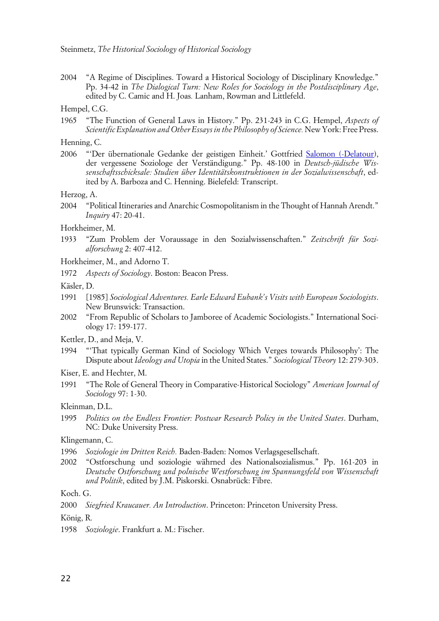2004 "A Regime of Disciplines. Toward a Historical Sociology of Disciplinary Knowledge." Pp. 34-42 in *The Dialogical Turn: New Roles for Sociology in the Postdisciplinary Age*, edited by C. Camic and H. Joas*.* Lanham, Rowman and Littlefeld.

Hempel, C.G.

1965 "The Function of General Laws in History." Pp. 231-243 in C.G. Hempel, *Aspects of Scientific Explanation and Other Essays in the Philosophy of Science.* New York: Free Press.

Henning, C.

2006 "'Der übernationale Gedanke der geistigen Einheit.' Gottfried [Salomon \(-Delatour\)](javascript:open_window(%22http://mirlyn.lib.umich.edu:80/F/34NLGUVU585SMJ78M5DC4D3L5F7TB19GBCCK2NJEAPT5GJQPNQ-81468?func=?service&doc_number=??001747907&line_number=??0012&service_type=??TAG%22);?), der vergessene Soziologe der Verständigung." Pp. 48-100 in *Deutsch-jüdische Wissenschaftsschicksale: Studien über Identitätskonstruktionen in der Sozialwissenschaft*, edited by A. Barboza and C. Henning. Bielefeld: Transcript.

Herzog, A.

2004 "Political Itineraries and Anarchic Cosmopolitanism in the Thought of Hannah Arendt." *Inquiry* 47: 20-41.

Horkheimer, M.

1933 "Zum Problem der Voraussage in den Sozialwissenschaften." *Zeitschrift für Sozialforschung* 2: 407-412.

Horkheimer, M., and Adorno T.

1972 *Aspects of Sociology*. Boston: Beacon Press.

Käsler, D.

- 1991 [1985] *Sociological Adventures. Earle Edward Eubank's Visits with European Sociologists*. New Brunswick: Transaction.
- 2002 "From Republic of Scholars to Jamboree of Academic Sociologists." International Sociology 17: 159-177.

Kettler, D., and Meja, V.

1994 "'That typically German Kind of Sociology Which Verges towards Philosophy': The Dispute about *Ideology and Utopia* in the United States." *Sociological Theory* 12: 279-303.

Kiser, E. and Hechter, M.

1991 "The Role of General Theory in Comparative-Historical Sociology" *American Journal of Sociology* 97: 1-30.

Kleinman, D.L.

1995 *Politics on the Endless Frontier: Postwar Research Policy in the United States*. Durham, NC: Duke University Press.

Klingemann, C.

- 1996 *Soziologie im Dritten Reich.* Baden-Baden: Nomos Verlagsgesellschaft.
- 2002 "Ostforschung und soziologie währned des Nationalsozialismus." Pp. 161-203 in *Deutsche Ostforschung und polnische Westforschung im Spannungsfeld von Wissenschaft und Politik*, edited by J.M. Piskorski. Osnabrück: Fibre.

Koch. G.

2000 *Siegfried Kraucauer. An Introduction*. Princeton: Princeton University Press.

König, R.

1958 *Soziologie*. Frankfurt a. M.: Fischer.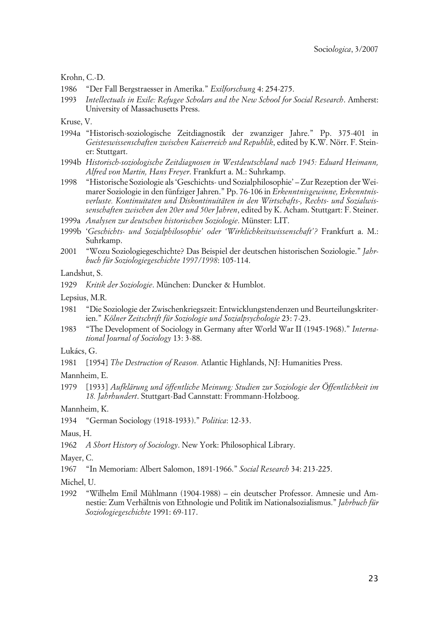Krohn, C.-D.

- 1986 "Der Fall Bergstraesser in Amerika." *Exilforschung* 4: 254-275.
- 1993 *Intellectuals in Exile: Refugee Scholars and the New School for Social Research*. Amherst: University of Massachusetts Press.

Kruse, V.

- 1994a "Historisch-soziologische Zeitdiagnostik der zwanziger Jahre." Pp. 375-401 in *Geisteswissenschaften zwischen Kaiserreich und Republik*, edited by K.W. Nörr. F. Steiner: Stuttgart.
- 1994b *Historisch-soziologische Zeitdiagnosen in Westdeutschland nach 1945: Eduard Heimann, Alfred von Martin, Hans Freyer*. Frankfurt a. M.: Suhrkamp.
- 1998 "Historische Soziologie als 'Geschichts- und Sozialphilosophie' Zur Rezeption der Weimarer Soziologie in den fünfziger Jahren." Pp. 76-106 in *Erkenntnisgewinne, Erkenntnisverluste. Kontinuitaten und Diskontinuitäten in den Wirtschafts-, Rechts- und Sozialwissenschaften zwischen den 20er und 50er Jahren*, edited by K. Acham. Stuttgart: F. Steiner.
- 1999a *Analysen zur deutschen historischen Soziologie*. Münster: LIT.
- 1999b '*Geschichts- und Sozialphilosophie' oder 'Wirklichkeitswissenschaft'?* Frankfurt a. M.: Suhrkamp.
- 2001 "Wozu Soziologiegeschichte? Das Beispiel der deutschen historischen Soziologie." *Jahrbuch für Soziologiegeschichte 1997/1998*: 105-114.

Landshut, S.

1929 *Kritik der Soziologie*. München: Duncker & Humblot.

Lepsius, M.R.

- 1981 "Die Soziologie der Zwischenkriegszeit: Entwicklungstendenzen und Beurteilungskriterien." *Kölner Zeitschrift für Soziologie und Sozialpsychologie* 23: 7-23.
- 1983 "The Development of Sociology in Germany after World War II (1945-1968)." *International Journal of Sociology* 13: 3-88.

Lukács, G.

1981 [1954] *The Destruction of Reason.* Atlantic Highlands, NJ: Humanities Press.

Mannheim, E.

1979 [1933] *Aufklärung und öffentliche Meinung: Studien zur Soziologie der Öffentlichkeit im 18. Jahrhundert*. Stuttgart-Bad Cannstatt: Frommann-Holzboog.

Mannheim, K.

1934 "German Sociology (1918-1933)." *Politica*: 12-33.

Maus, H.

1962 *A Short History of Sociology*. New York: Philosophical Library.

Mayer, C.

1967 "In Memoriam: Albert Salomon, 1891-1966." *Social Research* 34: 213-225.

Michel, U.

1992 "Wilhelm Emil Mühlmann (1904-1988) – ein deutscher Professor. Amnesie und Amnestie: Zum Verhältnis von Ethnologie und Politik im Nationalsozialismus." *Jahrbuch für Soziologiegeschichte* 1991: 69-117.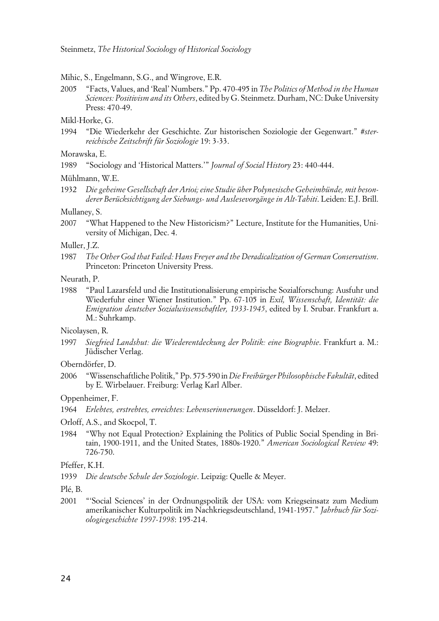#### Mihic, S., Engelmann, S.G., and Wingrove, E.R.

2005 "Facts, Values, and 'Real' Numbers." Pp. 470-495 in *The Politics of Method in the Human Sciences: Positivism and its Others*, edited by G. Steinmetz. Durham, NC: Duke University Press: 470-49.

### Mikl-Horke, G.

1994 "Die Wiederkehr der Geschichte. Zur historischen Soziologie der Gegenwart." *#sterreichische Zeitschrift für Soziologie* 19: 3-33.

#### Morawska, E.

1989 "Sociology and 'Historical Matters.'" *Journal of Social History* 23: 440-444.

#### Mühlmann, W.E.

1932 *Die geheime Gesellschaft der Arioi; eine Studie über Polynesische Geheimbünde, mit besonderer Berücksichtigung der Siebungs- und Auslesevorgänge in Alt-Tahiti*. Leiden: E.J. Brill.

#### Mullaney, S.

2007 "What Happened to the New Historicism?" Lecture, Institute for the Humanities, University of Michigan, Dec. 4.

#### Muller, J.Z.

1987 *The Other God that Failed: Hans Freyer and the Deradicalization of German Conservatism*. Princeton: Princeton University Press.

#### Neurath, P.

1988 "Paul Lazarsfeld und die Institutionalisierung empirische Sozialforschung: Ausfuhr und Wiederfuhr einer Wiener Institution." Pp. 67-105 in *Exil, Wissenschaft, Identität: die Emigration deutscher Sozialwissenschaftler, 1933-1945*, edited by I. Srubar. Frankfurt a. M.: Suhrkamp.

#### Nicolaysen, R.

1997 *Siegfried Landshut: die Wiederentdeckung der Politik: eine Biographie*. Frankfurt a. M.: Jüdischer Verlag.

Oberndörfer, D.

2006 "Wissenschaftliche Politik," Pp. 575-590 in *Die Freibürger Philosophische Fakultät*, edited by E. Wirbelauer. Freiburg: Verlag Karl Alber.

#### Oppenheimer, F.

1964 *Erlebtes, erstrebtes, erreichtes: Lebenserinnerungen*. Düsseldorf: J. Melzer.

#### Orloff, A.S., and Skocpol, T.

1984 "Why not Equal Protection? Explaining the Politics of Public Social Spending in Britain, 1900-1911, and the United States, 1880s-1920." *American Sociological Review* 49: 726-750.

1939 *Die deutsche Schule der Soziologie*. Leipzig: Quelle & Meyer.

2001 "'Social Sciences' in der Ordnungspolitik der USA: vom Kriegseinsatz zum Medium amerikanischer Kulturpolitik im Nachkriegsdeutschland, 1941-1957." *Jahrbuch für Soziologiegeschichte 1997-1998*: 195-214.

Pfeffer, K.H.

Plé, B.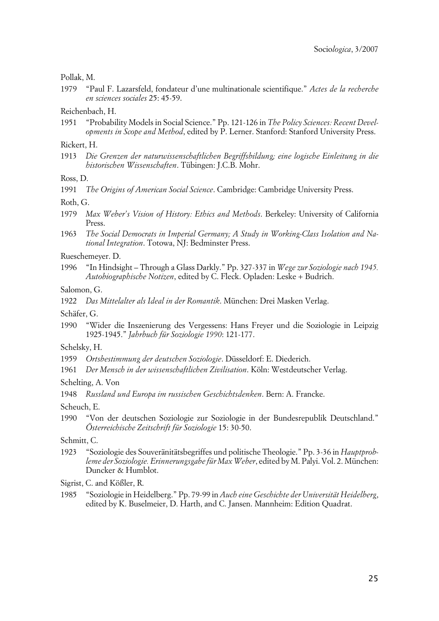#### Pollak, M.

1979 "Paul F. Lazarsfeld, fondateur d'une multinationale scientifique." *Actes de la recherche en sciences sociales* 25: 45-59.

Reichenbach, H.

1951 "Probability Models in Social Science." Pp. 121-126 in *The Policy Sciences: Recent Developments in Scope and Method*, edited by P. Lerner. Stanford: Stanford University Press.

Rickert, H.

1913 *Die Grenzen der naturwissenschaftlichen Begriffsbildung; eine logische Einleitung in die historischen Wissenschaften*. Tübingen: J.C.B. Mohr.

Ross, D.

1991 *The Origins of American Social Science*. Cambridge: Cambridge University Press.

Roth, G.

- 1979 *Max Weber's Vision of History: Ethics and Methods*. Berkeley: University of California Press.
- 1963 *The Social Democrats in Imperial Germany; A Study in Working-Class Isolation and National Integration*. Totowa, NJ: Bedminster Press.

Rueschemeyer. D.

1996 "In Hindsight – Through a Glass Darkly." Pp. 327-337 in *Wege zur Soziologie nach 1945. Autobiographische Notizen*, edited by C. Fleck. Opladen: Leske + Budrich.

#### Salomon, G.

1922 *Das Mittelalter als Ideal in der Romantik*. München: Drei Masken Verlag.

Schäfer, G.

1990 "Wider die Inszenierung des Vergessens: Hans Freyer und die Soziologie in Leipzig 1925-1945." *Jahrbuch für Soziologie 1990*: 121-177.

Schelsky, H.

- 1959 *Ortsbestimmung der deutschen Soziologie*. Düsseldorf: E. Diederich.
- 1961 *Der Mensch in der wissenschaftlichen Zivilisation*. Köln: Westdeutscher Verlag.

Schelting, A. Von

1948 *Russland und Europa im russischen Geschichtsdenken*. Bern: A. Francke.

Scheuch, E.

1990 "Von der deutschen Soziologie zur Soziologie in der Bundesrepublik Deutschland." *Österreichische Zeitschrift für Soziologie* 15: 30-50.

Schmitt, C.

1923 "Soziologie des Souveränitätsbegriffes und politische Theologie." Pp. 3-36 in *Hauptprobleme der Soziologie. Erinnerungsgabe für Max Weber*, edited by M. Palyi. Vol. 2. München: Duncker & Humblot.

Sigrist, C. and Kößler, R.

1985 "Soziologie in Heidelberg." Pp. 79-99 in *Auch eine Geschichte der Universität Heidelberg*, edited by K. Buselmeier, D. Harth, and C. Jansen. Mannheim: Edition Quadrat.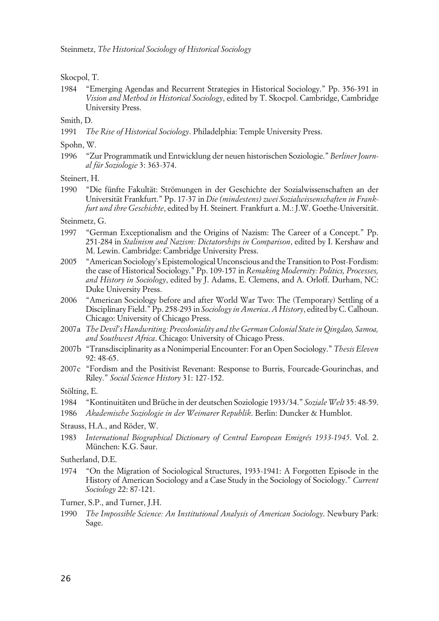#### Skocpol, T.

1984 "Emerging Agendas and Recurrent Strategies in Historical Sociology." Pp. 356-391 in *Vision and Method in Historical Sociology*, edited by T. Skocpol. Cambridge, Cambridge University Press.

Smith, D.

1991 *The Rise of Historical Sociology*. Philadelphia: Temple University Press.

Spohn, W.

1996 "Zur Programmatik und Entwicklung der neuen historischen Soziologie." *Berliner Journal für Soziologie* 3: 363-374.

Steinert, H.

1990 "Die fünfte Fakultät: Strömungen in der Geschichte der Sozialwissenschaften an der Universität Frankfurt." Pp. 17-37 in *Die (mindestens) zwei Sozialwissenschaften in Frankfurt und ihre Geschichte*, edited by H. Steinert*.* Frankfurt a. M.: J.W. Goethe-Universität.

Steinmetz, G.

- 1997 "German Exceptionalism and the Origins of Nazism: The Career of a Concept." Pp. 251-284 in *Stalinism and Nazism: Dictatorships in Comparison*, edited by I. Kershaw and M. Lewin. Cambridge: Cambridge University Press.
- 2005 "American Sociology's Epistemological Unconscious and the Transition to Post-Fordism: the case of Historical Sociology." Pp. 109-157 in *Remaking Modernity: Politics, Processes, and History in Sociology*, edited by J. Adams, E. Clemens, and A. Orloff. Durham, NC: Duke University Press.
- 2006 "American Sociology before and after World War Two: The (Temporary) Settling of a Disciplinary Field." Pp. 258-293 in *Sociology in America*. *A History*, edited by C. Calhoun. Chicago: University of Chicago Press.
- 2007a *The Devil's Handwriting: Precoloniality and the German Colonial State in Qingdao, Samoa, and Southwest Africa*. Chicago: University of Chicago Press.
- 2007b "Transdisciplinarity as a Nonimperial Encounter: For an Open Sociology." *Thesis Eleven* 92: 48-65.
- 2007c "Fordism and the Positivist Revenant: Response to Burris, Fourcade-Gourinchas, and Riley." *Social Science History* 31: 127-152.

Stölting, E.

- 1984 "Kontinuitäten und Brüche in der deutschen Soziologie 1933/34." *Soziale Welt* 35: 48-59.
- 1986 *Akademische Soziologie in der Weimarer Republik*. Berlin: Duncker & Humblot.

Strauss, H.A., and Röder, W.

1983 *International Biographical Dictionary of Central European Emigrés 1933-1945*. Vol. 2. München: K.G. Saur.

Sutherland, D.E.

1974 "On the Migration of Sociological Structures, 1933-1941: A Forgotten Episode in the History of American Sociology and a Case Study in the Sociology of Sociology." *Current Sociology* 22: 87-121.

Turner, S.P., and Turner, J.H.

1990 *The Impossible Science: An Institutional Analysis of American Sociology*. Newbury Park: Sage.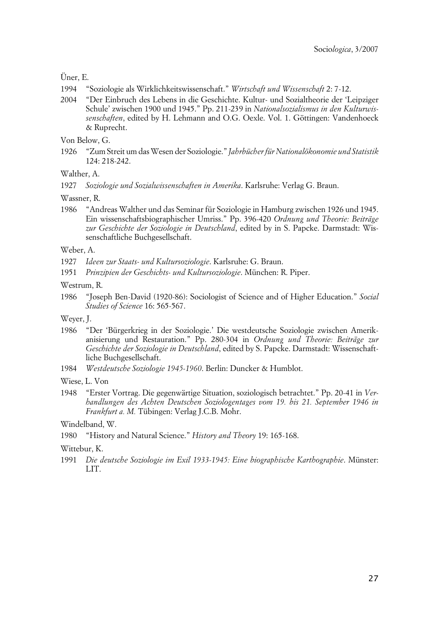## Üner, E.

- 1994 "Soziologie als Wirklichkeitswissenschaft." *Wirtschaft und Wissenschaft* 2: 7-12.
- 2004 "Der Einbruch des Lebens in die Geschichte. Kultur- und Sozialtheorie der 'Leipziger Schule' zwischen 1900 und 1945." Pp. 211-239 in *Nationalsozialismus in den Kulturwissenschaften*, edited by H. Lehmann and O.G. Oexle. Vol. 1. Göttingen: Vandenhoeck & Ruprecht.

Von Below, G.

1926 "Zum Streit um das Wesen der Soziologie." *Jahrbücher für Nationalökonomie und Statistik* 124: 218-242.

Walther, A.

1927 *Soziologie und Sozialwissenschaften in Amerika*. Karlsruhe: Verlag G. Braun.

Wassner, R.

1986 "Andreas Walther und das Seminar für Soziologie in Hamburg zwischen 1926 und 1945. Ein wissenschaftsbiographischer Umriss." Pp. 396-420 *Ordnung und Theorie: Beiträge zur Geschichte der Soziologie in Deutschland*, edited by in S. Papcke. Darmstadt: Wissenschaftliche Buchgesellschaft.

#### Weber, A.

- 1927 *Ideen zur Staats- und Kultursoziologie*. Karlsruhe: G. Braun.
- 1951 *Prinzipien der Geschichts- und Kultursoziologie*. München: R. Piper.
- Westrum, R.
- 1986 "Joseph Ben-David (1920-86): Sociologist of Science and of Higher Education." *Social Studies of Science* 16: 565-567.

Weyer, J.

- 1986 "Der 'Bürgerkrieg in der Soziologie.' Die westdeutsche Soziologie zwischen Amerikanisierung und Restauration." Pp. 280-304 in *Ordnung und Theorie: Beiträge zur Geschichte der Soziologie in Deutschland*, edited by S. Papcke. Darmstadt: Wissenschaftliche Buchgesellschaft.
- 1984 *Westdeutsche Soziologie 1945-1960*. Berlin: Duncker & Humblot.

Wiese, L. Von

1948 "Erster Vortrag. Die gegenwärtige Situation, soziologisch betrachtet." Pp. 20-41 in *Verhandlungen des Achten Deutschen Soziologentages vom 19. bis 21. September 1946 in Frankfurt a. M.* Tübingen: Verlag J.C.B. Mohr.

#### Windelband, W.

1980 "History and Natural Science." *History and Theory* 19: 165-168.

#### Wittebur, K.

1991 *Die deutsche Soziologie im Exil 1933-1945: Eine biographische Karthographie*. Münster: LIT.